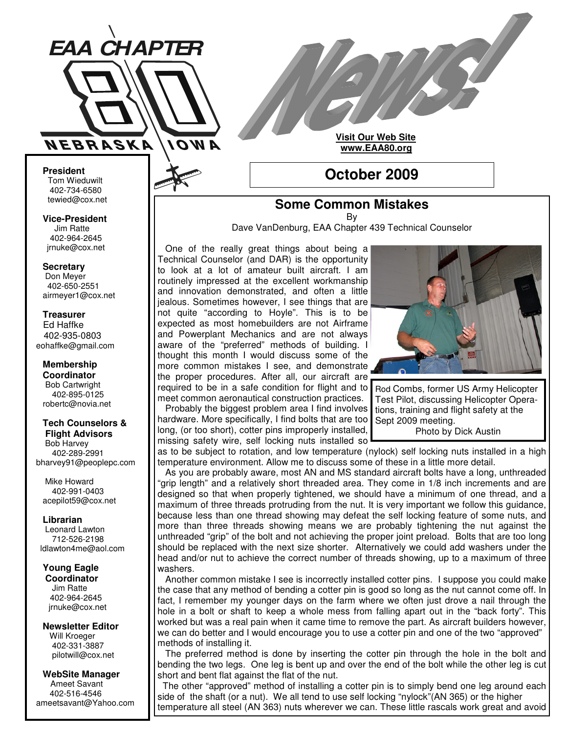

**Visit Our Web Site www.EAA80.org**

# **October 2009**

## **Some Common Mistakes**

By

Dave VanDenburg, EAA Chapter 439 Technical Counselor

One of the really great things about being a Technical Counselor (and DAR) is the opportunity to look at a lot of amateur built aircraft. I am routinely impressed at the excellent workmanship and innovation demonstrated, and often a little jealous. Sometimes however, I see things that are not quite "according to Hoyle". This is to be expected as most homebuilders are not Airframe and Powerplant Mechanics and are not always aware of the "preferred" methods of building. I thought this month I would discuss some of the more common mistakes I see, and demonstrate the proper procedures. After all, our aircraft are required to be in a safe condition for flight and to meet common aeronautical construction practices. Probably the biggest problem area I find involves hardware. More specifically, I find bolts that are too

long, (or too short), cotter pins improperly installed, missing safety wire, self locking nuts installed so



Rod Combs, former US Army Helicopter Test Pilot, discussing Helicopter Operations, training and flight safety at the Sept 2009 meeting. Photo by Dick Austin

as to be subject to rotation, and low temperature (nylock) self locking nuts installed in a high temperature environment. Allow me to discuss some of these in a little more detail.

As you are probably aware, most AN and MS standard aircraft bolts have a long, unthreaded "grip length" and a relatively short threaded area. They come in 1/8 inch increments and are designed so that when properly tightened, we should have a minimum of one thread, and a maximum of three threads protruding from the nut. It is very important we follow this guidance, because less than one thread showing may defeat the self locking feature of some nuts, and more than three threads showing means we are probably tightening the nut against the unthreaded "grip" of the bolt and not achieving the proper joint preload. Bolts that are too long should be replaced with the next size shorter. Alternatively we could add washers under the head and/or nut to achieve the correct number of threads showing, up to a maximum of three washers.

Another common mistake I see is incorrectly installed cotter pins. I suppose you could make the case that any method of bending a cotter pin is good so long as the nut cannot come off. In fact, I remember my younger days on the farm where we often just drove a nail through the hole in a bolt or shaft to keep a whole mess from falling apart out in the "back forty". This worked but was a real pain when it came time to remove the part. As aircraft builders however, we can do better and I would encourage you to use a cotter pin and one of the two "approved" methods of installing it.

The preferred method is done by inserting the cotter pin through the hole in the bolt and bending the two legs. One leg is bent up and over the end of the bolt while the other leg is cut short and bent flat against the flat of the nut.

The other "approved" method of installing a cotter pin is to simply bend one leg around each side of the shaft (or a nut). We all tend to use self locking "nylock"(AN 365) or the higher temperature all steel (AN 363) nuts wherever we can. These little rascals work great and avoid

**President** Tom Wieduwilt 402-734-6580 tewied@cox.net

**Vice-President** Jim Ratte 402-964-2645 jrnuke@cox.net

**Secretary** Don Meyer 402-650-2551

airmeyer1@cox.net

**Treasurer** Ed Haffke 402-935-0803 eohaffke@gmail.com

**Membership Coordinator** Bob Cartwright 402-895-0125 robertc@novia.net

#### **Tech Counselors & Flight Advisors**

Bob Harvey 402-289-2991 bharvey91@peoplepc.com

Mike Howard 402-991-0403 acepilot59@cox.net

**Librarian** Leonard Lawton 712-526-2198 ldlawton4me@aol.com

**Young Eagle Coordinator** Jim Ratte

402-964-2645 jrnuke@cox.net

**Newsletter Editor** Will Kroeger 402-331-3887 pilotwill@cox.net

**WebSite Manager** Ameet Savant 402-516-4546 ameetsavant@Yahoo.com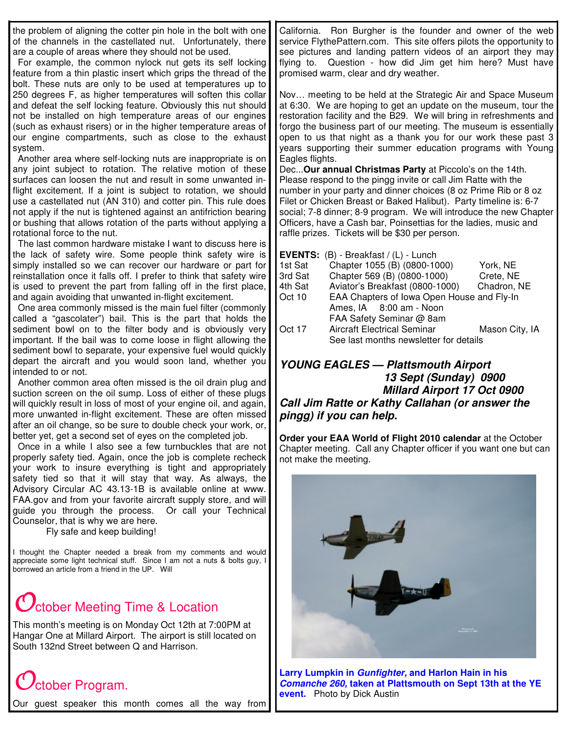| the problem of aligning the cotter pin hole in the bolt with one<br>of the channels in the castellated nut. Unfortunately, there<br>are a couple of areas where they should not be used.<br>For example, the common nylock nut gets its self locking<br>feature from a thin plastic insert which grips the thread of the<br>bolt. These nuts are only to be used at temperatures up to<br>250 degrees F, as higher temperatures will soften this collar<br>and defeat the self locking feature. Obviously this nut should<br>not be installed on high temperature areas of our engines<br>(such as exhaust risers) or in the higher temperature areas of<br>our engine compartments, such as close to the exhaust<br>system.<br>Another area where self-locking nuts are inappropriate is on<br>any joint subject to rotation. The relative motion of these<br>surfaces can loosen the nut and result in some unwanted in-<br>flight excitement. If a joint is subject to rotation, we should<br>use a castellated nut (AN 310) and cotter pin. This rule does<br>not apply if the nut is tightened against an antifriction bearing<br>or bushing that allows rotation of the parts without applying a<br>rotational force to the nut.<br>The last common hardware mistake I want to discuss here is<br>the lack of safety wire. Some people think safety wire is<br>simply installed so we can recover our hardware or part for<br>reinstallation once it falls off. I prefer to think that safety wire<br>is used to prevent the part from falling off in the first place,<br>and again avoiding that unwanted in-flight excitement.<br>One area commonly missed is the main fuel filter (commonly<br>called a "gascolater") bail. This is the part that holds the<br>sediment bowl on to the filter body and is obviously very<br>important. If the bail was to come loose in flight allowing the<br>sediment bowl to separate, your expensive fuel would quickly<br>depart the aircraft and you would soon land, whether you<br>intended to or not.<br>Another common area often missed is the oil drain plug and<br>suction screen on the oil sump. Loss of either of these plugs<br>will quickly result in loss of most of your engine oil, and again,<br>more unwanted in-flight excitement. These are often missed<br>after an oil change, so be sure to double check your work, or,<br>better yet, get a second set of eyes on the completed job.<br>Once in a while I also see a few turnbuckles that are not<br>properly safety tied. Again, once the job is complete recheck<br>your work to insure everything is tight and appropriately<br>safety tied so that it will stay that way. As always, the<br>Advisory Circular AC 43.13-1B is available online at www.<br>FAA.gov and from your favorite aircraft supply store, and will<br>guide you through the process.<br>Or call your Technical<br>Counselor, that is why we are here.<br>Fly safe and keep building!<br>I thought the Chapter needed a break from my comments and would<br>appreciate some light technical stuff. Since I am not a nuts & bolts guy, I<br>borrowed an article from a friend in the UP. Will | California. Ron Burgher is the founder and owner of the web<br>service FlythePattern.com. This site offers pilots the opportunity to<br>see pictures and landing pattern videos of an airport they may<br>flying to. Question - how did Jim get him here? Must have<br>promised warm, clear and dry weather.<br>Nov meeting to be held at the Strategic Air and Space Museum<br>at 6:30. We are hoping to get an update on the museum, tour the<br>restoration facility and the B29. We will bring in refreshments and<br>forgo the business part of our meeting. The museum is essentially<br>open to us that night as a thank you for our work these past 3<br>years supporting their summer education programs with Young<br>Eagles flights.<br>Dec Our annual Christmas Party at Piccolo's on the 14th.<br>Please respond to the pingg invite or call Jim Ratte with the<br>number in your party and dinner choices (8 oz Prime Rib or 8 oz<br>Filet or Chicken Breast or Baked Halibut). Party timeline is: 6-7<br>social; 7-8 dinner; 8-9 program. We will introduce the new Chapter<br>Officers, have a Cash bar, Poinsettias for the ladies, music and<br>raffle prizes. Tickets will be \$30 per person.<br>EVENTS: (B) - Breakfast / (L) - Lunch<br>1st Sat<br>Chapter 1055 (B) (0800-1000)<br>York, NE<br>3rd Sat<br>Chapter 569 (B) (0800-1000)<br>Crete, NE<br>4th Sat<br>Aviator's Breakfast (0800-1000)<br>Chadron, NE<br>Oct 10<br>EAA Chapters of lowa Open House and Fly-In<br>Ames, IA 8:00 am - Noon<br>FAA Safety Seminar @ 8am<br>Mason City, IA<br>Oct 17<br><b>Aircraft Electrical Seminar</b><br>See last months newsletter for details<br><b>YOUNG EAGLES - Plattsmouth Airport</b><br>13 Sept (Sunday) 0900<br>Millard Airport 17 Oct 0900<br>Call Jim Ratte or Kathy Callahan (or answer the<br>pingg) if you can help.<br>Order your EAA World of Flight 2010 calendar at the October<br>Chapter meeting. Call any Chapter officer if you want one but can<br>not make the meeting. |
|--------------------------------------------------------------------------------------------------------------------------------------------------------------------------------------------------------------------------------------------------------------------------------------------------------------------------------------------------------------------------------------------------------------------------------------------------------------------------------------------------------------------------------------------------------------------------------------------------------------------------------------------------------------------------------------------------------------------------------------------------------------------------------------------------------------------------------------------------------------------------------------------------------------------------------------------------------------------------------------------------------------------------------------------------------------------------------------------------------------------------------------------------------------------------------------------------------------------------------------------------------------------------------------------------------------------------------------------------------------------------------------------------------------------------------------------------------------------------------------------------------------------------------------------------------------------------------------------------------------------------------------------------------------------------------------------------------------------------------------------------------------------------------------------------------------------------------------------------------------------------------------------------------------------------------------------------------------------------------------------------------------------------------------------------------------------------------------------------------------------------------------------------------------------------------------------------------------------------------------------------------------------------------------------------------------------------------------------------------------------------------------------------------------------------------------------------------------------------------------------------------------------------------------------------------------------------------------------------------------------------------------------------------------------------------------------------------------------------------------------------------------------------------------------------------------------------------------------------------------------------------------------------------------------------------------------------------------------------------------------------------------------------------------------------------------------------------------------------------------------------------------------------------------------------------------------|------------------------------------------------------------------------------------------------------------------------------------------------------------------------------------------------------------------------------------------------------------------------------------------------------------------------------------------------------------------------------------------------------------------------------------------------------------------------------------------------------------------------------------------------------------------------------------------------------------------------------------------------------------------------------------------------------------------------------------------------------------------------------------------------------------------------------------------------------------------------------------------------------------------------------------------------------------------------------------------------------------------------------------------------------------------------------------------------------------------------------------------------------------------------------------------------------------------------------------------------------------------------------------------------------------------------------------------------------------------------------------------------------------------------------------------------------------------------------------------------------------------------------------------------------------------------------------------------------------------------------------------------------------------------------------------------------------------------------------------------------------------------------------------------------------------------------------------------------------------------------------------------------------------------------------------------------------------------------------------------------------------|
|                                                                                                                                                                                                                                                                                                                                                                                                                                                                                                                                                                                                                                                                                                                                                                                                                                                                                                                                                                                                                                                                                                                                                                                                                                                                                                                                                                                                                                                                                                                                                                                                                                                                                                                                                                                                                                                                                                                                                                                                                                                                                                                                                                                                                                                                                                                                                                                                                                                                                                                                                                                                                                                                                                                                                                                                                                                                                                                                                                                                                                                                                                                                                                                            |                                                                                                                                                                                                                                                                                                                                                                                                                                                                                                                                                                                                                                                                                                                                                                                                                                                                                                                                                                                                                                                                                                                                                                                                                                                                                                                                                                                                                                                                                                                                                                                                                                                                                                                                                                                                                                                                                                                                                                                                                  |

## **C** ctober Meeting Time & Location

This month's meeting is on Monday Oct 12th at 7:00PM at Hangar One at Millard Airport. The airport is still located on South 132nd Street between Q and Harrison.

# $C$ ctober Program.

Our guest speaker this month comes all the way from

**Larry Lumpkin in** *Gunfighter,* **and Harlon Hain in his** *Comanche 260,* **taken at Plattsmouth on Sept 13th at the YE event.** Photo by Dick Austin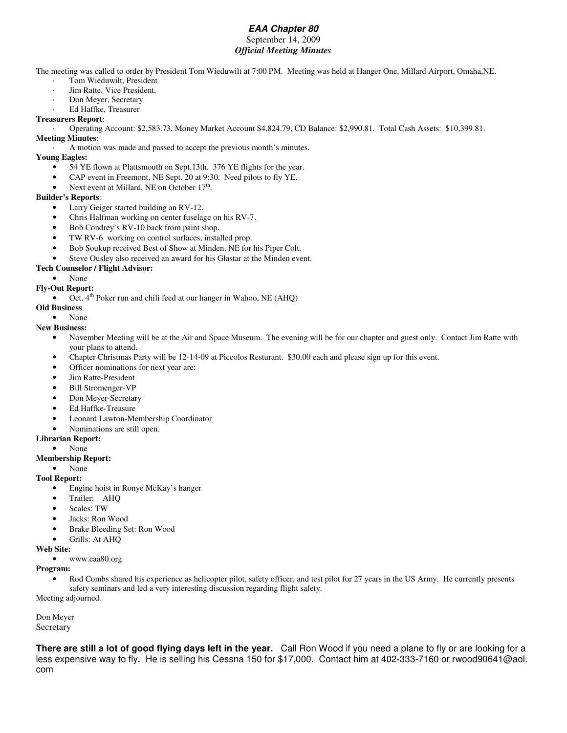### *EAA Chapter 80*

#### September 14, 2009 *Official Meeting Minutes*

The meeting was called to order by President Tom Wieduwilt at 7:00 PM. Meeting was held at Hanger One, Millard Airport, Omaha,NE.

- Tom Wieduwilt, President
- Jim Ratte, Vice President,
- Don Meyer, Secretary
- · Ed Haffke, Treasurer

#### **Treasurers Report**:

· Operating Account: \$2,583.73, Money Market Account \$4,824.79, CD Balance: \$2,990.81. Total Cash Assets: \$10,399.81. **Meeting Minutes**:

· A motion was made and passed to accept the previous month's minutes.

#### **Young Eagles:**

- 54 YE flown at Plattsmouth on Sept.13th. 376 YE flights for the year.
- CAP event in Freemont, NE Sept. 20 at 9:30. Need pilots to fly YE.
- Next event at Millard, NE on October 17<sup>th</sup>.

#### **Builder's Reports**:

- Larry Geiger started building an RV-12.
- Chris Halfman working on center fuselage on his RV-7.
- Bob Condrey's RV-10 back from paint shop.
- TW RV-6 working on control surfaces, installed prop.
- Bob Soukup received Best of Show at Minden, NE for his Piper Colt.
- Steve Ousley also received an award for his Glastar at the Minden event.

#### **Tech Counselor / Flight Advisor:**

- None
- **Fly-Out Report:**
	- Oct. 4<sup>th</sup> Poker run and chili feed at our hanger in Wahoo, NE (AHQ)

#### **Old Business**

• None

#### **New Business:**

- November Meeting will be at the Air and Space Museum. The evening will be for our chapter and guest only. Contact Jim Ratte with your plans to attend.
- Chapter Christmas Party will be 12-14-09 at Piccolos Resturant. \$30.00 each and please sign up for this event.
- Officer nominations for next year are:
- Jim Ratte-President
- Bill Stromenger-VP
- Don Meyer-Secretary
- Ed Haffke-Treasure
- Leonard Lawton-Membership Coordinator
- Nominations are still open.

#### **Librarian Report:**

• None

#### **Membership Report:**

• None

#### **Tool Report:**

- Engine hoist in Ronye McKay's hanger
- Trailer: AHQ
- Scales: TW
- Jacks: Ron Wood
- Brake Bleeding Set: Ron Wood
- Grills: At AHQ

#### **Web Site:**

• www.eaa80.org

#### **Program:**

Rod Combs shared his experience as helicopter pilot, safety officer, and test pilot for 27 years in the US Army. He currently presents safety seminars and led a very interesting discussion regarding flight safety. Meeting adjourned.

Don Meyer

Secretary

**There are still a lot of good flying days left in the year.** Call Ron Wood if you need a plane to fly or are looking for a less expensive way to fly. He is selling his Cessna 150 for \$17,000. Contact him at 402-333-7160 or rwood90641@aol. com